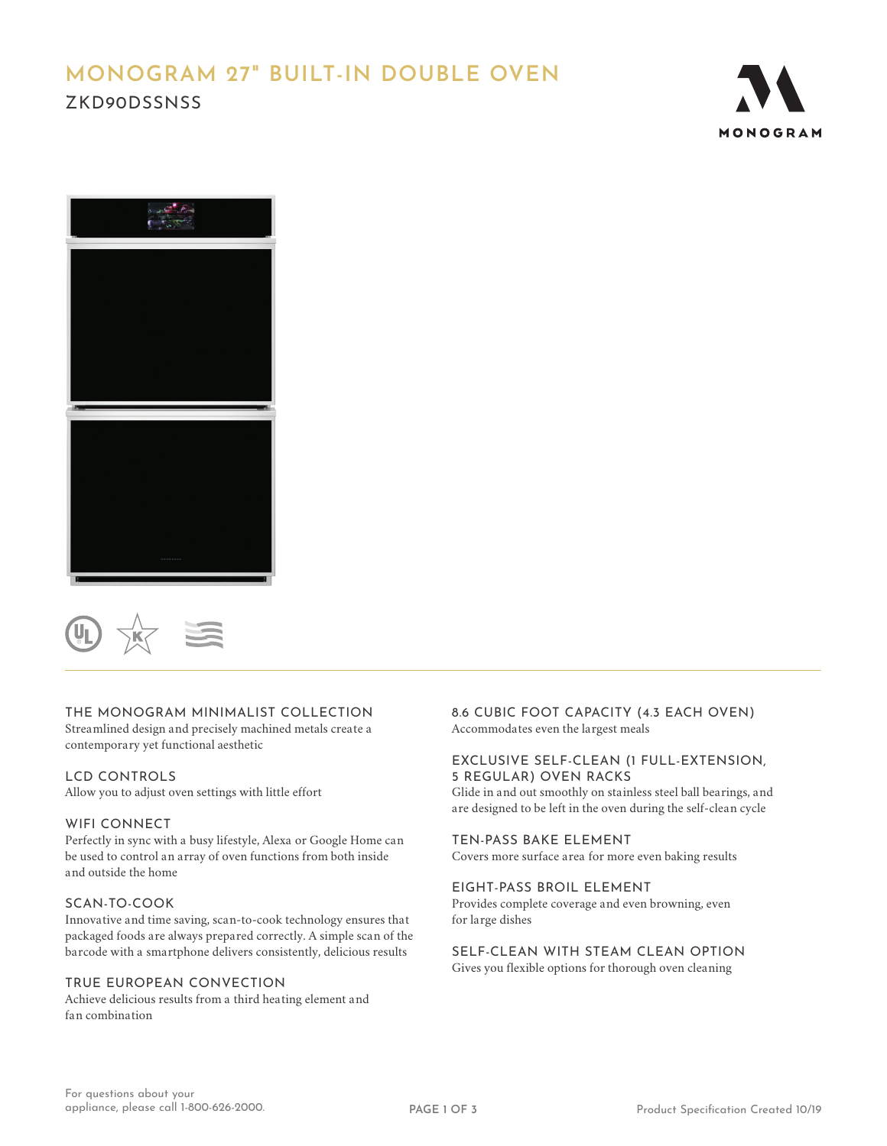# **MONOGRAM 27" BUILT-IN DOUBLE OVEN** ZKD90DSSNSS





# THE MONOGRAM MINIMALIST COLLECTION

Streamlined design and precisely machined metals create a contemporary yet functional aesthetic

### LCD CONTROLS

Allow you to adjust oven settings with little effort

### WIFI CONNECT

Perfectly in sync with a busy lifestyle, Alexa or Google Home can be used to control an array of oven functions from both inside and outside the home

## SCAN-TO-COOK

Innovative and time saving, scan-to-cook technology ensures that packaged foods are always prepared correctly. A simple scan of the barcode with a smartphone delivers consistently, delicious results

# TRUE EUROPEAN CONVECTION

Achieve delicious results from a third heating element and fan combination

8.6 CUBIC FOOT CAPACITY (4.3 EACH OVEN) Accommodates even the largest meals

### EXCLUSIVE SELF-CLEAN (1 FULL-EXTENSION, 5 REGULAR) OVEN RACKS

Glide in and out smoothly on stainless steel ball bearings, and are designed to be left in the oven during the self-clean cycle

# TEN-PASS BAKE ELEMENT

Covers more surface area for more even baking results

### EIGHT-PASS BROIL ELEMENT

Provides complete coverage and even browning, even for large dishes

# SELF-CLEAN WITH STEAM CLEAN OPTION

Gives you flexible options for thorough oven cleaning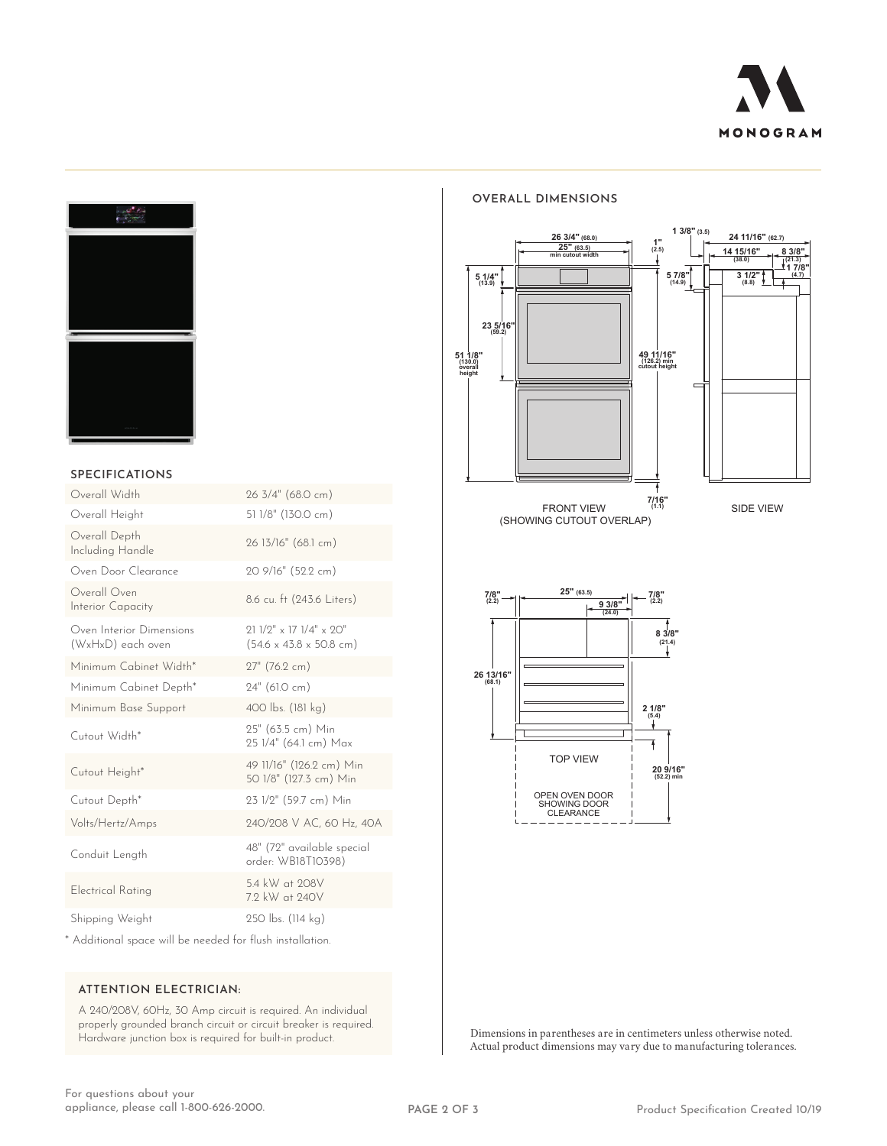



### **SPECIFICATIONS**

| Overall Width                                 | 26 3/4" (68.0 cm)                                                              |
|-----------------------------------------------|--------------------------------------------------------------------------------|
| Overall Height                                | 51 1/8" (130.0 cm)                                                             |
| Overall Depth<br>Including Handle             | 26 13/16" (68.1 cm)                                                            |
| Oven Door Clearance                           | 20 9/16" (52.2 cm)                                                             |
| Overall Oven<br>Interior Capacity             | 8.6 cu. ft (243.6 Liters)                                                      |
| Oven Interior Dimensions<br>(WxHxD) each oven | $911/9''$ x 17 $1/4''$ x $90''$<br>$(54.6 \times 43.8 \times 50.8 \text{ cm})$ |
| Minimum Cabinet Width*                        | 27" (76.2 cm)                                                                  |
| Minimum Cabinet Depth*                        | 24" (61.0 cm)                                                                  |
| Minimum Base Support                          | 400 lbs. (181 kg)                                                              |
| Cutout Width*                                 | 25" (63.5 cm) Min<br>25 1/4" (64.1 cm) Max                                     |
| Cutout Height*                                | 49 11/16" (126.2 cm) Min<br>50 1/8" (127.3 cm) Min                             |
| Cutout Depth*                                 | 23 1/2" (59.7 cm) Min                                                          |
| Volts/Hertz/Amps                              | 240/208 V AC, 60 Hz, 40A                                                       |
| Conduit Length                                | 48" (72" available special<br>order: WB18T10398)                               |
| <b>Electrical Rating</b>                      | 5.4 kW at 208V<br>7.2 kW at 240V                                               |
| Shipping Weight                               | 250 lbs. (114 kg)                                                              |

\* Additional space will be needed for flush installation.

### **ATTENTION ELECTRICIAN:**

A 240/208V, 60Hz, 30 Amp circuit is required. An individual properly grounded branch circuit or circuit breaker is required. Hardware junction box is required for built-in product.

### **OVERALL DIMENSIONS**





Dimensions in parentheses are in centimeters unless otherwise noted. Actual product dimensions may vary due to manufacturing tolerances.